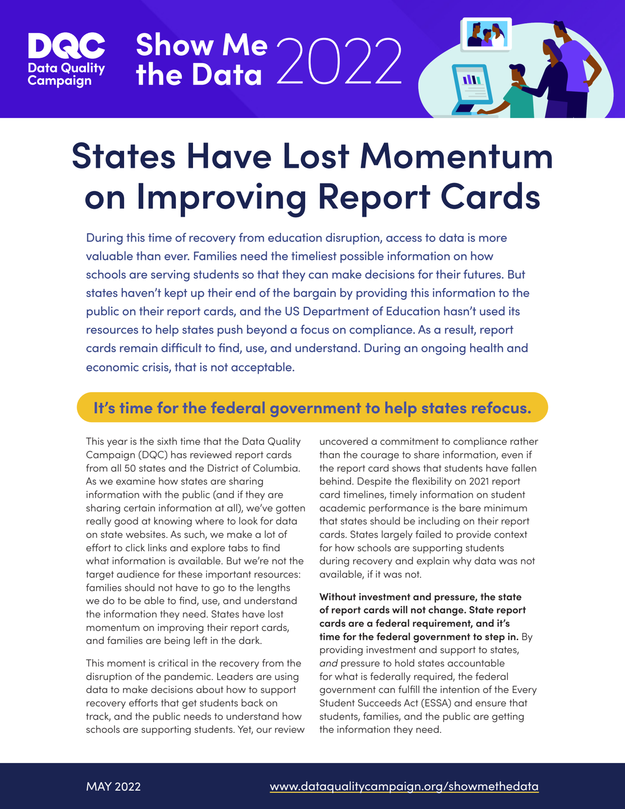

# **States Have Lost Momentum on Improving Report Cards**

**Show Me the Data** 2022

During this time of recovery from education disruption, access to data is more valuable than ever. Families need the timeliest possible information on how schools are serving students so that they can make decisions for their futures. But states haven't kept up their end of the bargain by providing this information to the public on their report cards, and the US Department of Education hasn't used its resources to help states push beyond a focus on compliance. As a result, report cards remain difficult to find, use, and understand. During an ongoing health and economic crisis, that is not acceptable.

### **It's time for the federal government to help states refocus.**

This year is the sixth time that the Data Quality Campaign (DQC) has reviewed report cards from all 50 states and the District of Columbia. As we examine how states are sharing information with the public (and if they are sharing certain information at all), we've gotten really good at knowing where to look for data on state websites. As such, we make a lot of effort to click links and explore tabs to find what information is available. But we're not the target audience for these important resources: families should not have to go to the lengths we do to be able to find, use, and understand the information they need. States have lost momentum on improving their report cards, and families are being left in the dark.

This moment is critical in the recovery from the disruption of the pandemic. Leaders are using data to make decisions about how to support recovery efforts that get students back on track, and the public needs to understand how schools are supporting students. Yet, our review uncovered a commitment to compliance rather than the courage to share information, even if the report card shows that students have fallen behind. Despite the flexibility on 2021 report card timelines, timely information on student academic performance is the bare minimum that states should be including on their report cards. States largely failed to provide context for how schools are supporting students during recovery and explain why data was not available, if it was not.

**Without investment and pressure, the state of report cards will not change. State report cards are a federal requirement, and it's time for the federal government to step in.** By providing investment and support to states, *and* pressure to hold states accountable for what is federally required, the federal government can fulfill the intention of the Every Student Succeeds Act (ESSA) and ensure that students, families, and the public are getting the information they need.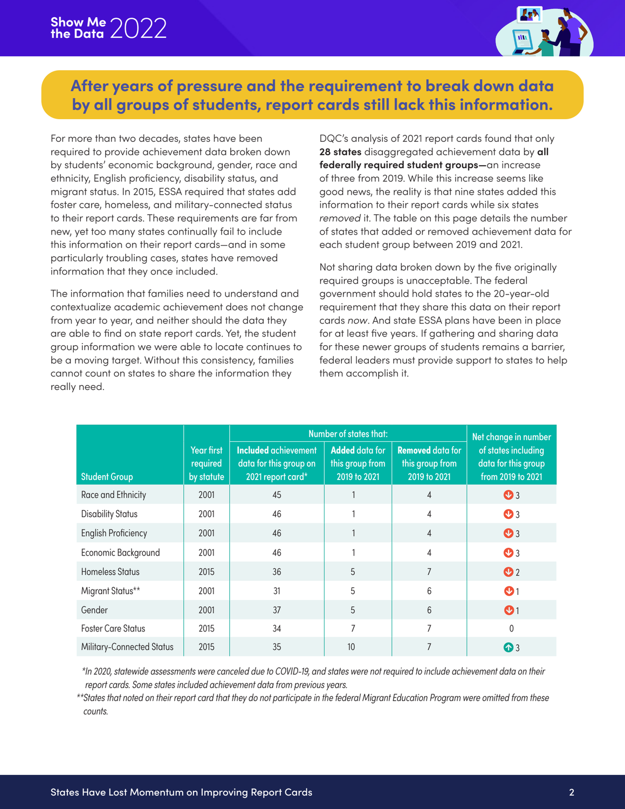

#### **After years of pressure and the requirement to break down data by all groups of students, report cards still lack this information.**

For more than two decades, states have been required to provide achievement data broken down by students' economic background, gender, race and ethnicity, English proficiency, disability status, and migrant status. In 2015, ESSA required that states add foster care, homeless, and military-connected status to their report cards. These requirements are far from new, yet too many states continually fail to include this information on their report cards—and in some particularly troubling cases, states have removed information that they once included.

The information that families need to understand and contextualize academic achievement does not change from year to year, and neither should the data they are able to find on state report cards. Yet, the student group information we were able to locate continues to be a moving target. Without this consistency, families cannot count on states to share the information they really need.

DQC's analysis of 2021 report cards found that only **28 states** disaggregated achievement data by **all federally required student groups—**an increase of three from 2019. While this increase seems like good news, the reality is that nine states added this information to their report cards while six states *removed* it. The table on this page details the number of states that added or removed achievement data for each student group between 2019 and 2021.

Not sharing data broken down by the five originally required groups is unacceptable. The federal government should hold states to the 20-year-old requirement that they share this data on their report cards *now*. And state ESSA plans have been in place for at least five years. If gathering and sharing data for these newer groups of students remains a barrier, federal leaders must provide support to states to help them accomplish it.

|                            |                                      | Number of states that:                                                     |                                                          |                                                            | Net change in number                                            |
|----------------------------|--------------------------------------|----------------------------------------------------------------------------|----------------------------------------------------------|------------------------------------------------------------|-----------------------------------------------------------------|
| <b>Student Group</b>       | Year first<br>required<br>by statute | <b>Included achievement</b><br>data for this group on<br>2021 report card* | <b>Added</b> data for<br>this group from<br>2019 to 2021 | <b>Removed data for</b><br>this group from<br>2019 to 2021 | of states including<br>data for this group<br>from 2019 to 2021 |
| Race and Ethnicity         | 2001                                 | 45                                                                         |                                                          | $\overline{4}$                                             | $\mathbf{O}$ <sub>3</sub>                                       |
| <b>Disability Status</b>   | 2001                                 | 46                                                                         |                                                          | 4                                                          | $\mathbf{O}$ <sub>3</sub>                                       |
| <b>English Proficiency</b> | 2001                                 | 46                                                                         |                                                          | $\overline{4}$                                             | $\mathbf{O}$ <sub>3</sub>                                       |
| Economic Background        | 2001                                 | 46                                                                         |                                                          | 4                                                          | $\mathbf{O}$ <sub>3</sub>                                       |
| <b>Homeless Status</b>     | 2015                                 | 36                                                                         | 5                                                        | $\overline{7}$                                             | $\mathbf{O}$ <sub>2</sub>                                       |
| Migrant Status**           | 2001                                 | 31                                                                         | 5                                                        | 6                                                          | $\mathbf{O}1$                                                   |
| Gender                     | 2001                                 | 37                                                                         | 5                                                        | 6                                                          | $\mathbf{O}$                                                    |
| <b>Foster Care Status</b>  | 2015                                 | 34                                                                         | 7                                                        | $\overline{7}$                                             | 0                                                               |
| Military-Connected Status  | 2015                                 | 35                                                                         | 10                                                       | $\overline{7}$                                             | ⊙3                                                              |

 *\*In 2020, statewide assessments were canceled due to COVID-19, and states were not required to include achievement data on their report cards. Some states included achievement data from previous years.*

*\*\*States that noted on their report card that they do not participate in the federal Migrant Education Program were omitted from these counts.*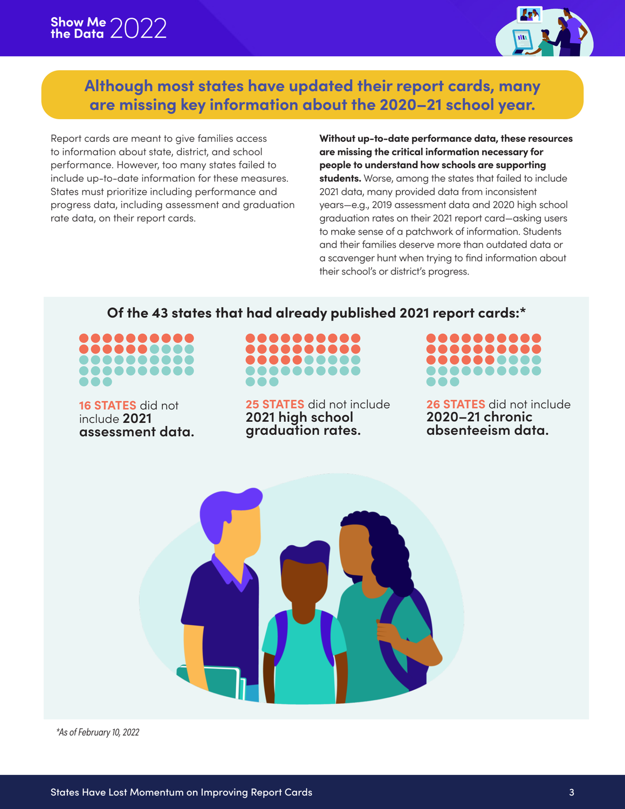

#### **Although most states have updated their report cards, many are missing key information about the 2020–21 school year.**

Report cards are meant to give families access to information about state, district, and school performance. However, too many states failed to include up-to-date information for these measures. States must prioritize including performance and progress data, including assessment and graduation rate data, on their report cards.

**Without up-to-date performance data, these resources are missing the critical information necessary for people to understand how schools are supporting students.** Worse, among the states that failed to include 2021 data, many provided data from inconsistent years—e.g., 2019 assessment data and 2020 high school graduation rates on their 2021 report card—asking users to make sense of a patchwork of information. Students and their families deserve more than outdated data or a scavenger hunt when trying to find information about their school's or district's progress.

#### **Of the 43 states that had already published 2021 report cards:\***

....... 8888888

**16 STATES** did not include **2021 assessment data.**



**25 STATES** did not include **2021 high school graduation rates.** 



**26 STATES** did not include **2020–21 chronic absenteeism data.**



 *\*As of February 10, 2022*